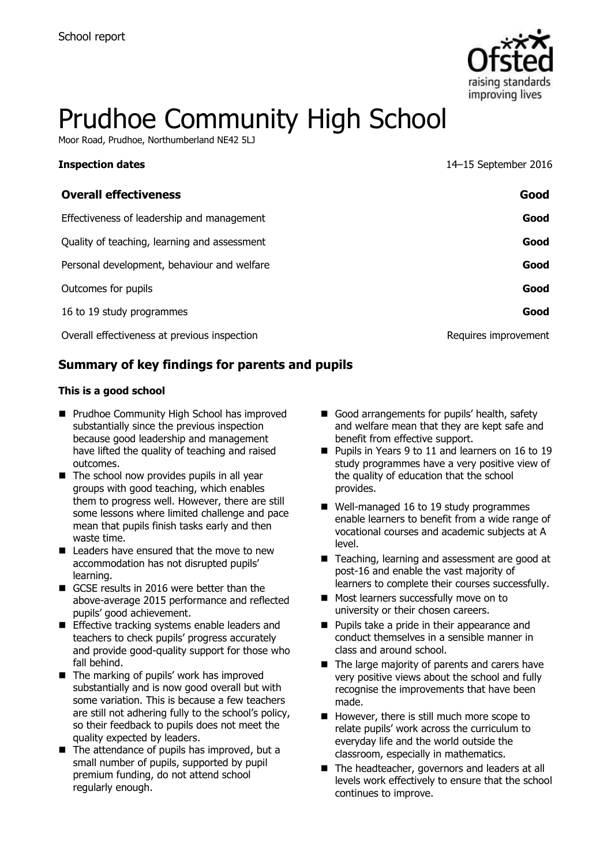

# Prudhoe Community High School

Moor Road, Prudhoe, Northumberland NE42 5LJ

**Inspection dates** 14–15 September 2016

| <b>Overall effectiveness</b>                 | Good                 |
|----------------------------------------------|----------------------|
| Effectiveness of leadership and management   | Good                 |
| Quality of teaching, learning and assessment | Good                 |
| Personal development, behaviour and welfare  | Good                 |
| Outcomes for pupils                          | Good                 |
| 16 to 19 study programmes                    | Good                 |
| Overall effectiveness at previous inspection | Requires improvement |

### **Summary of key findings for parents and pupils**

#### **This is a good school**

- **Prudhoe Community High School has improved** substantially since the previous inspection because good leadership and management have lifted the quality of teaching and raised outcomes.
- $\blacksquare$  The school now provides pupils in all year groups with good teaching, which enables them to progress well. However, there are still some lessons where limited challenge and pace mean that pupils finish tasks early and then waste time.
- Leaders have ensured that the move to new accommodation has not disrupted pupils' learning.
- GCSE results in 2016 were better than the above-average 2015 performance and reflected pupils' good achievement.
- **Effective tracking systems enable leaders and** teachers to check pupils' progress accurately and provide good-quality support for those who fall behind.
- The marking of pupils' work has improved substantially and is now good overall but with some variation. This is because a few teachers are still not adhering fully to the school's policy, so their feedback to pupils does not meet the quality expected by leaders.
- $\blacksquare$  The attendance of pupils has improved, but a small number of pupils, supported by pupil premium funding, do not attend school regularly enough.
- Good arrangements for pupils' health, safety and welfare mean that they are kept safe and benefit from effective support.
- Pupils in Years 9 to 11 and learners on 16 to 19 study programmes have a very positive view of the quality of education that the school provides.
- Well-managed 16 to 19 study programmes enable learners to benefit from a wide range of vocational courses and academic subjects at A level.
- Teaching, learning and assessment are good at post-16 and enable the vast majority of learners to complete their courses successfully.
- **Most learners successfully move on to** university or their chosen careers.
- **Pupils take a pride in their appearance and** conduct themselves in a sensible manner in class and around school.
- $\blacksquare$  The large majority of parents and carers have very positive views about the school and fully recognise the improvements that have been made.
- However, there is still much more scope to relate pupils' work across the curriculum to everyday life and the world outside the classroom, especially in mathematics.
- The headteacher, governors and leaders at all levels work effectively to ensure that the school continues to improve.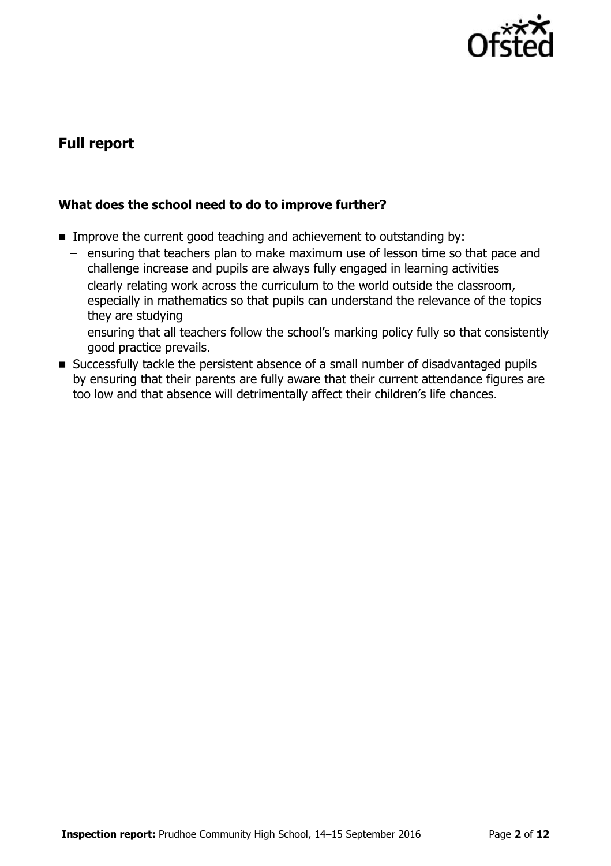

# **Full report**

### **What does the school need to do to improve further?**

- **IMPROVE the current good teaching and achievement to outstanding by:** 
	- $-$  ensuring that teachers plan to make maximum use of lesson time so that pace and challenge increase and pupils are always fully engaged in learning activities
	- clearly relating work across the curriculum to the world outside the classroom, especially in mathematics so that pupils can understand the relevance of the topics they are studying
	- ensuring that all teachers follow the school's marking policy fully so that consistently good practice prevails.
- Successfully tackle the persistent absence of a small number of disadvantaged pupils by ensuring that their parents are fully aware that their current attendance figures are too low and that absence will detrimentally affect their children's life chances.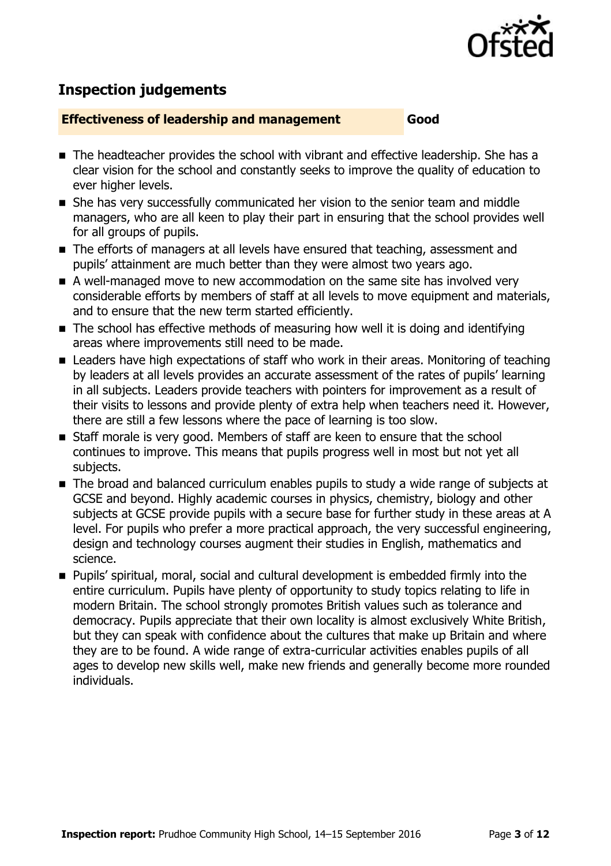

# **Inspection judgements**

#### **Effectiveness of leadership and management Good**

- The headteacher provides the school with vibrant and effective leadership. She has a clear vision for the school and constantly seeks to improve the quality of education to ever higher levels.
- She has very successfully communicated her vision to the senior team and middle managers, who are all keen to play their part in ensuring that the school provides well for all groups of pupils.
- The efforts of managers at all levels have ensured that teaching, assessment and pupils' attainment are much better than they were almost two years ago.
- A well-managed move to new accommodation on the same site has involved very considerable efforts by members of staff at all levels to move equipment and materials, and to ensure that the new term started efficiently.
- The school has effective methods of measuring how well it is doing and identifying areas where improvements still need to be made.
- Leaders have high expectations of staff who work in their areas. Monitoring of teaching by leaders at all levels provides an accurate assessment of the rates of pupils' learning in all subjects. Leaders provide teachers with pointers for improvement as a result of their visits to lessons and provide plenty of extra help when teachers need it. However, there are still a few lessons where the pace of learning is too slow.
- Staff morale is very good. Members of staff are keen to ensure that the school continues to improve. This means that pupils progress well in most but not yet all subjects.
- The broad and balanced curriculum enables pupils to study a wide range of subjects at GCSE and beyond. Highly academic courses in physics, chemistry, biology and other subjects at GCSE provide pupils with a secure base for further study in these areas at A level. For pupils who prefer a more practical approach, the very successful engineering, design and technology courses augment their studies in English, mathematics and science.
- Pupils' spiritual, moral, social and cultural development is embedded firmly into the entire curriculum. Pupils have plenty of opportunity to study topics relating to life in modern Britain. The school strongly promotes British values such as tolerance and democracy. Pupils appreciate that their own locality is almost exclusively White British, but they can speak with confidence about the cultures that make up Britain and where they are to be found. A wide range of extra-curricular activities enables pupils of all ages to develop new skills well, make new friends and generally become more rounded individuals.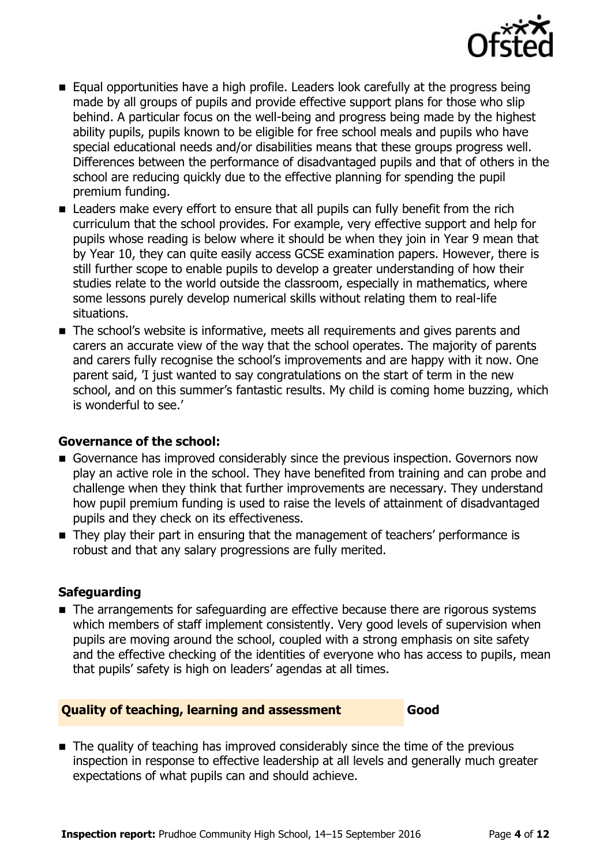

- Equal opportunities have a high profile. Leaders look carefully at the progress being made by all groups of pupils and provide effective support plans for those who slip behind. A particular focus on the well-being and progress being made by the highest ability pupils, pupils known to be eligible for free school meals and pupils who have special educational needs and/or disabilities means that these groups progress well. Differences between the performance of disadvantaged pupils and that of others in the school are reducing quickly due to the effective planning for spending the pupil premium funding.
- **EX** Leaders make every effort to ensure that all pupils can fully benefit from the rich curriculum that the school provides. For example, very effective support and help for pupils whose reading is below where it should be when they join in Year 9 mean that by Year 10, they can quite easily access GCSE examination papers. However, there is still further scope to enable pupils to develop a greater understanding of how their studies relate to the world outside the classroom, especially in mathematics, where some lessons purely develop numerical skills without relating them to real-life situations.
- The school's website is informative, meets all requirements and gives parents and carers an accurate view of the way that the school operates. The majority of parents and carers fully recognise the school's improvements and are happy with it now. One parent said, 'I just wanted to say congratulations on the start of term in the new school, and on this summer's fantastic results. My child is coming home buzzing, which is wonderful to see.'

#### **Governance of the school:**

- Governance has improved considerably since the previous inspection. Governors now play an active role in the school. They have benefited from training and can probe and challenge when they think that further improvements are necessary. They understand how pupil premium funding is used to raise the levels of attainment of disadvantaged pupils and they check on its effectiveness.
- They play their part in ensuring that the management of teachers' performance is robust and that any salary progressions are fully merited.

#### **Safeguarding**

The arrangements for safeguarding are effective because there are rigorous systems which members of staff implement consistently. Very good levels of supervision when pupils are moving around the school, coupled with a strong emphasis on site safety and the effective checking of the identities of everyone who has access to pupils, mean that pupils' safety is high on leaders' agendas at all times.

#### **Quality of teaching, learning and assessment Good**

■ The quality of teaching has improved considerably since the time of the previous inspection in response to effective leadership at all levels and generally much greater expectations of what pupils can and should achieve.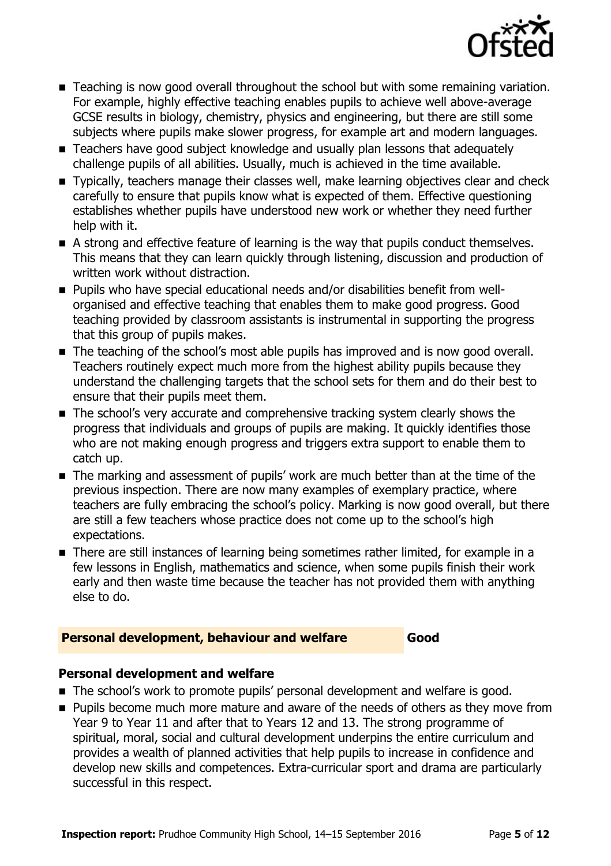

- **Teaching is now good overall throughout the school but with some remaining variation.** For example, highly effective teaching enables pupils to achieve well above-average GCSE results in biology, chemistry, physics and engineering, but there are still some subjects where pupils make slower progress, for example art and modern languages.
- Teachers have good subject knowledge and usually plan lessons that adequately challenge pupils of all abilities. Usually, much is achieved in the time available.
- Typically, teachers manage their classes well, make learning objectives clear and check carefully to ensure that pupils know what is expected of them. Effective questioning establishes whether pupils have understood new work or whether they need further help with it.
- A strong and effective feature of learning is the way that pupils conduct themselves. This means that they can learn quickly through listening, discussion and production of written work without distraction.
- Pupils who have special educational needs and/or disabilities benefit from wellorganised and effective teaching that enables them to make good progress. Good teaching provided by classroom assistants is instrumental in supporting the progress that this group of pupils makes.
- The teaching of the school's most able pupils has improved and is now good overall. Teachers routinely expect much more from the highest ability pupils because they understand the challenging targets that the school sets for them and do their best to ensure that their pupils meet them.
- The school's very accurate and comprehensive tracking system clearly shows the progress that individuals and groups of pupils are making. It quickly identifies those who are not making enough progress and triggers extra support to enable them to catch up.
- The marking and assessment of pupils' work are much better than at the time of the previous inspection. There are now many examples of exemplary practice, where teachers are fully embracing the school's policy. Marking is now good overall, but there are still a few teachers whose practice does not come up to the school's high expectations.
- There are still instances of learning being sometimes rather limited, for example in a few lessons in English, mathematics and science, when some pupils finish their work early and then waste time because the teacher has not provided them with anything else to do.

#### **Personal development, behaviour and welfare Good**

#### **Personal development and welfare**

- The school's work to promote pupils' personal development and welfare is good.
- **Pupils become much more mature and aware of the needs of others as they move from** Year 9 to Year 11 and after that to Years 12 and 13. The strong programme of spiritual, moral, social and cultural development underpins the entire curriculum and provides a wealth of planned activities that help pupils to increase in confidence and develop new skills and competences. Extra-curricular sport and drama are particularly successful in this respect.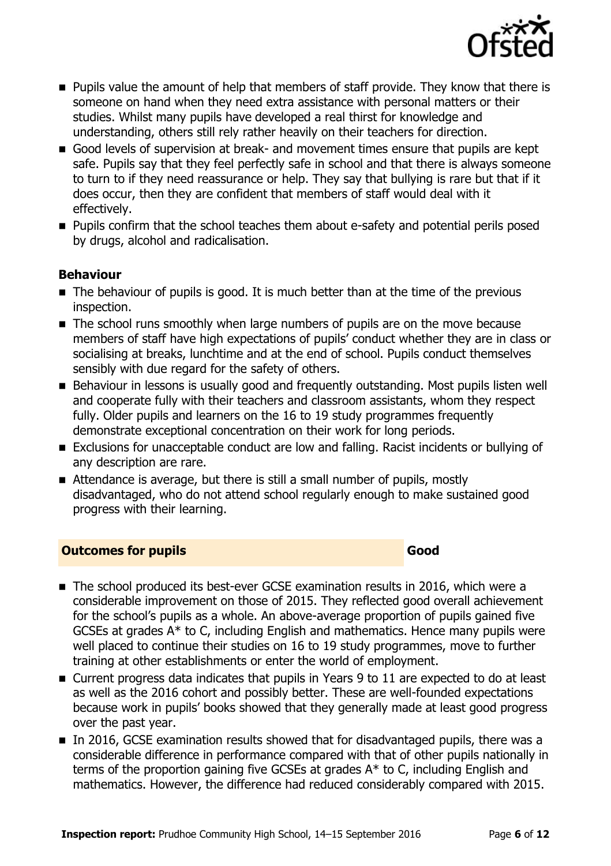

- **Pupils value the amount of help that members of staff provide. They know that there is** someone on hand when they need extra assistance with personal matters or their studies. Whilst many pupils have developed a real thirst for knowledge and understanding, others still rely rather heavily on their teachers for direction.
- Good levels of supervision at break- and movement times ensure that pupils are kept safe. Pupils say that they feel perfectly safe in school and that there is always someone to turn to if they need reassurance or help. They say that bullying is rare but that if it does occur, then they are confident that members of staff would deal with it effectively.
- **Pupils confirm that the school teaches them about e-safety and potential perils posed** by drugs, alcohol and radicalisation.

### **Behaviour**

- The behaviour of pupils is good. It is much better than at the time of the previous inspection.
- The school runs smoothly when large numbers of pupils are on the move because members of staff have high expectations of pupils' conduct whether they are in class or socialising at breaks, lunchtime and at the end of school. Pupils conduct themselves sensibly with due regard for the safety of others.
- Behaviour in lessons is usually good and frequently outstanding. Most pupils listen well and cooperate fully with their teachers and classroom assistants, whom they respect fully. Older pupils and learners on the 16 to 19 study programmes frequently demonstrate exceptional concentration on their work for long periods.
- Exclusions for unacceptable conduct are low and falling. Racist incidents or bullying of any description are rare.
- Attendance is average, but there is still a small number of pupils, mostly disadvantaged, who do not attend school regularly enough to make sustained good progress with their learning.

#### **Outcomes for pupils Good**

- The school produced its best-ever GCSE examination results in 2016, which were a considerable improvement on those of 2015. They reflected good overall achievement for the school's pupils as a whole. An above-average proportion of pupils gained five GCSEs at grades  $A^*$  to C, including English and mathematics. Hence many pupils were well placed to continue their studies on 16 to 19 study programmes, move to further training at other establishments or enter the world of employment.
- Current progress data indicates that pupils in Years 9 to 11 are expected to do at least as well as the 2016 cohort and possibly better. These are well-founded expectations because work in pupils' books showed that they generally made at least good progress over the past year.
- In 2016, GCSE examination results showed that for disadvantaged pupils, there was a considerable difference in performance compared with that of other pupils nationally in terms of the proportion gaining five GCSEs at grades A\* to C, including English and mathematics. However, the difference had reduced considerably compared with 2015.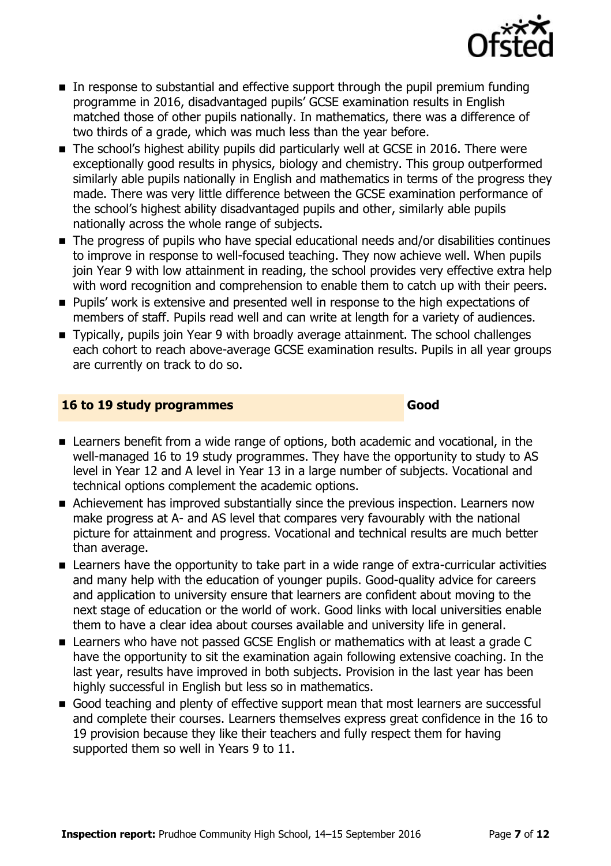

- In response to substantial and effective support through the pupil premium funding programme in 2016, disadvantaged pupils' GCSE examination results in English matched those of other pupils nationally. In mathematics, there was a difference of two thirds of a grade, which was much less than the year before.
- The school's highest ability pupils did particularly well at GCSE in 2016. There were exceptionally good results in physics, biology and chemistry. This group outperformed similarly able pupils nationally in English and mathematics in terms of the progress they made. There was very little difference between the GCSE examination performance of the school's highest ability disadvantaged pupils and other, similarly able pupils nationally across the whole range of subjects.
- The progress of pupils who have special educational needs and/or disabilities continues to improve in response to well-focused teaching. They now achieve well. When pupils join Year 9 with low attainment in reading, the school provides very effective extra help with word recognition and comprehension to enable them to catch up with their peers.
- **Pupils'** work is extensive and presented well in response to the high expectations of members of staff. Pupils read well and can write at length for a variety of audiences.
- Typically, pupils join Year 9 with broadly average attainment. The school challenges each cohort to reach above-average GCSE examination results. Pupils in all year groups are currently on track to do so.

#### **16 to 19 study programmes Good**

- Learners benefit from a wide range of options, both academic and vocational, in the well-managed 16 to 19 study programmes. They have the opportunity to study to AS level in Year 12 and A level in Year 13 in a large number of subjects. Vocational and technical options complement the academic options.
- Achievement has improved substantially since the previous inspection. Learners now make progress at A- and AS level that compares very favourably with the national picture for attainment and progress. Vocational and technical results are much better than average.
- **EXTERGHEED EXTERNAL EXTERNAL EXTERNAL EXTERNAL EXTERNAL EXTERNAL EXTERNAL EXTERNAL EXTERNAL EXTERNAL EXTERNAL E** and many help with the education of younger pupils. Good-quality advice for careers and application to university ensure that learners are confident about moving to the next stage of education or the world of work. Good links with local universities enable them to have a clear idea about courses available and university life in general.
- Learners who have not passed GCSE English or mathematics with at least a grade C have the opportunity to sit the examination again following extensive coaching. In the last year, results have improved in both subjects. Provision in the last year has been highly successful in English but less so in mathematics.
- Good teaching and plenty of effective support mean that most learners are successful and complete their courses. Learners themselves express great confidence in the 16 to 19 provision because they like their teachers and fully respect them for having supported them so well in Years 9 to 11.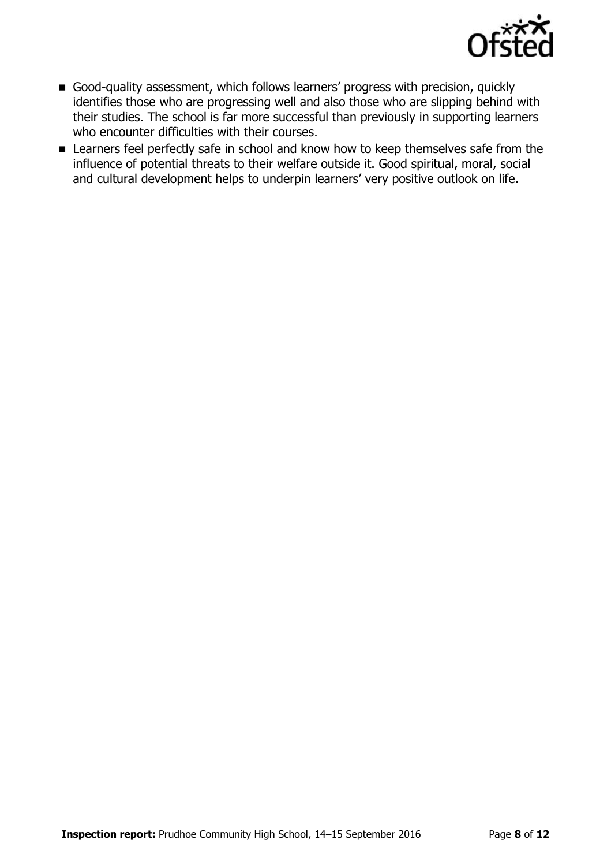

- Good-quality assessment, which follows learners' progress with precision, quickly identifies those who are progressing well and also those who are slipping behind with their studies. The school is far more successful than previously in supporting learners who encounter difficulties with their courses.
- **EX** Learners feel perfectly safe in school and know how to keep themselves safe from the influence of potential threats to their welfare outside it. Good spiritual, moral, social and cultural development helps to underpin learners' very positive outlook on life.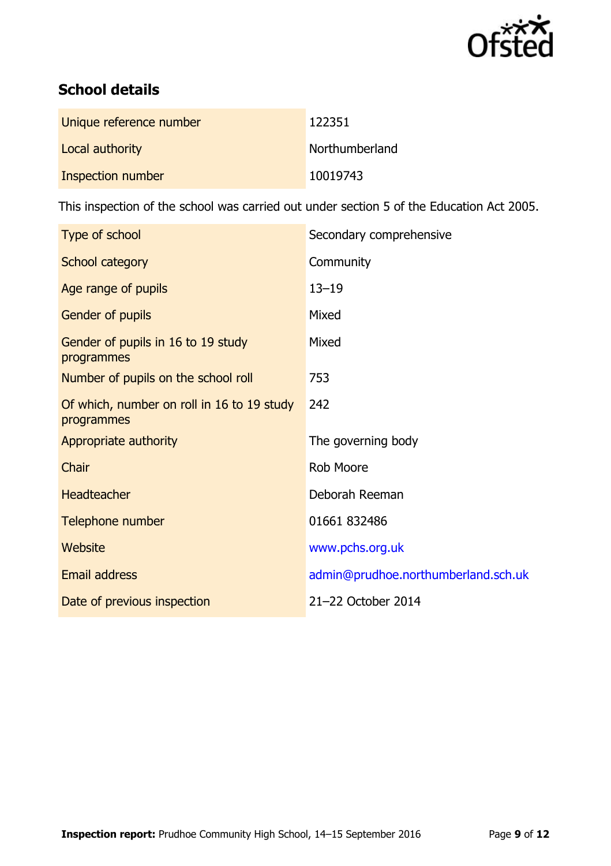

# **School details**

| Unique reference number | 122351         |
|-------------------------|----------------|
| Local authority         | Northumberland |
| Inspection number       | 10019743       |

This inspection of the school was carried out under section 5 of the Education Act 2005.

| Type of school                                           | Secondary comprehensive             |
|----------------------------------------------------------|-------------------------------------|
| School category                                          | Community                           |
| Age range of pupils                                      | $13 - 19$                           |
| Gender of pupils                                         | Mixed                               |
| Gender of pupils in 16 to 19 study<br>programmes         | Mixed                               |
| Number of pupils on the school roll                      | 753                                 |
| Of which, number on roll in 16 to 19 study<br>programmes | 242                                 |
| Appropriate authority                                    | The governing body                  |
| Chair                                                    | Rob Moore                           |
| <b>Headteacher</b>                                       | Deborah Reeman                      |
| Telephone number                                         | 01661 832486                        |
| Website                                                  | www.pchs.org.uk                     |
| <b>Email address</b>                                     | admin@prudhoe.northumberland.sch.uk |
| Date of previous inspection                              | 21-22 October 2014                  |
|                                                          |                                     |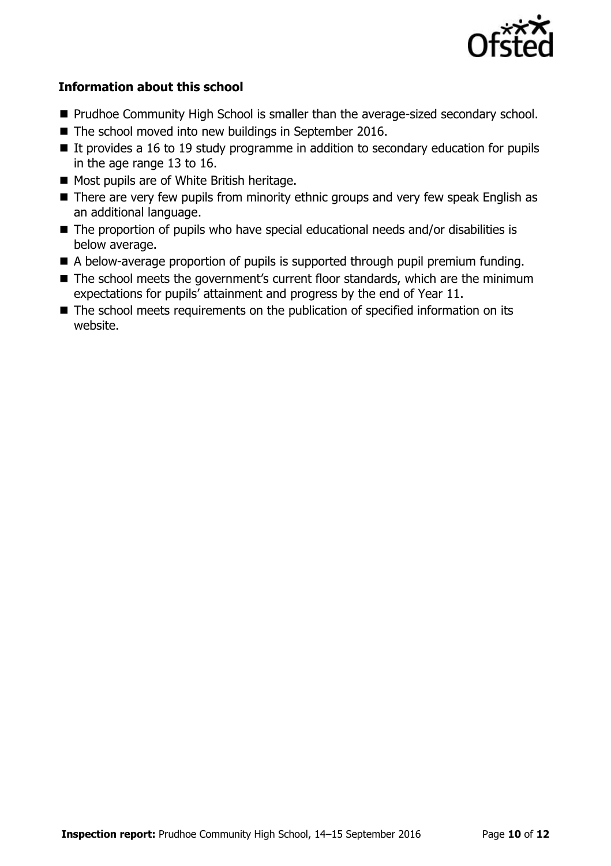

#### **Information about this school**

- **Prudhoe Community High School is smaller than the average-sized secondary school.**
- The school moved into new buildings in September 2016.
- It provides a 16 to 19 study programme in addition to secondary education for pupils in the age range 13 to 16.
- Most pupils are of White British heritage.
- There are very few pupils from minority ethnic groups and very few speak English as an additional language.
- The proportion of pupils who have special educational needs and/or disabilities is below average.
- A below-average proportion of pupils is supported through pupil premium funding.
- The school meets the government's current floor standards, which are the minimum expectations for pupils' attainment and progress by the end of Year 11.
- The school meets requirements on the publication of specified information on its website.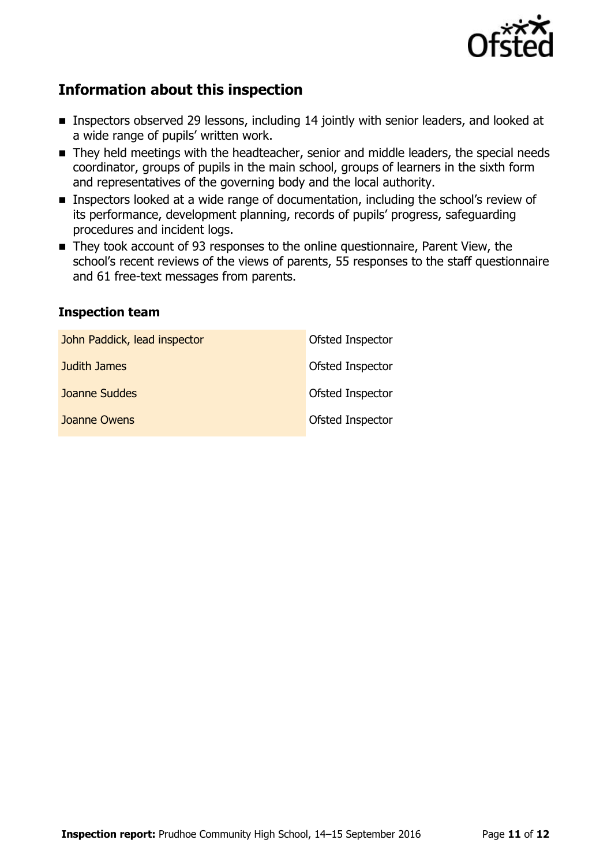

## **Information about this inspection**

- **Inspectors observed 29 lessons, including 14 jointly with senior leaders, and looked at** a wide range of pupils' written work.
- They held meetings with the headteacher, senior and middle leaders, the special needs coordinator, groups of pupils in the main school, groups of learners in the sixth form and representatives of the governing body and the local authority.
- **Inspectors looked at a wide range of documentation, including the school's review of** its performance, development planning, records of pupils' progress, safeguarding procedures and incident logs.
- They took account of 93 responses to the online questionnaire, Parent View, the school's recent reviews of the views of parents, 55 responses to the staff questionnaire and 61 free-text messages from parents.

#### **Inspection team**

| John Paddick, lead inspector | Ofsted Inspector |
|------------------------------|------------------|
| Judith James                 | Ofsted Inspector |
| <b>Joanne Suddes</b>         | Ofsted Inspector |
| Joanne Owens                 | Ofsted Inspector |